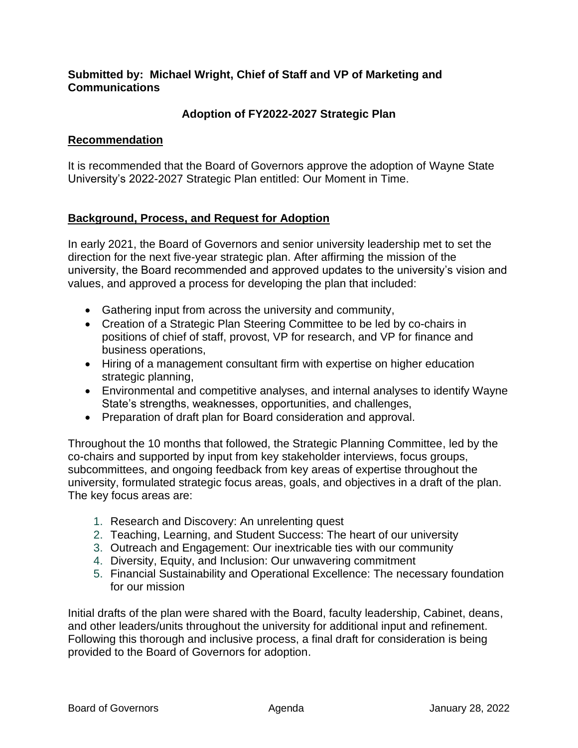### **Submitted by: Michael Wright, Chief of Staff and VP of Marketing and Communications**

### **Adoption of FY2022-2027 Strategic Plan**

### **Recommendation**

It is recommended that the Board of Governors approve the adoption of Wayne State University's 2022-2027 Strategic Plan entitled: Our Moment in Time.

### **Background, Process, and Request for Adoption**

In early 2021, the Board of Governors and senior university leadership met to set the direction for the next five-year strategic plan. After affirming the mission of the university, the Board recommended and approved updates to the university's vision and values, and approved a process for developing the plan that included:

- Gathering input from across the university and community,
- Creation of a Strategic Plan Steering Committee to be led by co-chairs in positions of chief of staff, provost, VP for research, and VP for finance and business operations,
- Hiring of a management consultant firm with expertise on higher education strategic planning,
- Environmental and competitive analyses, and internal analyses to identify Wayne State's strengths, weaknesses, opportunities, and challenges,
- Preparation of draft plan for Board consideration and approval.

Throughout the 10 months that followed, the Strategic Planning Committee, led by the co-chairs and supported by input from key stakeholder interviews, focus groups, subcommittees, and ongoing feedback from key areas of expertise throughout the university, formulated strategic focus areas, goals, and objectives in a draft of the plan. The key focus areas are:

- 1. Research and Discovery: An unrelenting quest
- 2. Teaching, Learning, and Student Success: The heart of our university
- 3. Outreach and Engagement: Our inextricable ties with our community
- 4. Diversity, Equity, and Inclusion: Our unwavering commitment
- 5. Financial Sustainability and Operational Excellence: The necessary foundation for our mission

Initial drafts of the plan were shared with the Board, faculty leadership, Cabinet, deans, and other leaders/units throughout the university for additional input and refinement. Following this thorough and inclusive process, a final draft for consideration is being provided to the Board of Governors for adoption.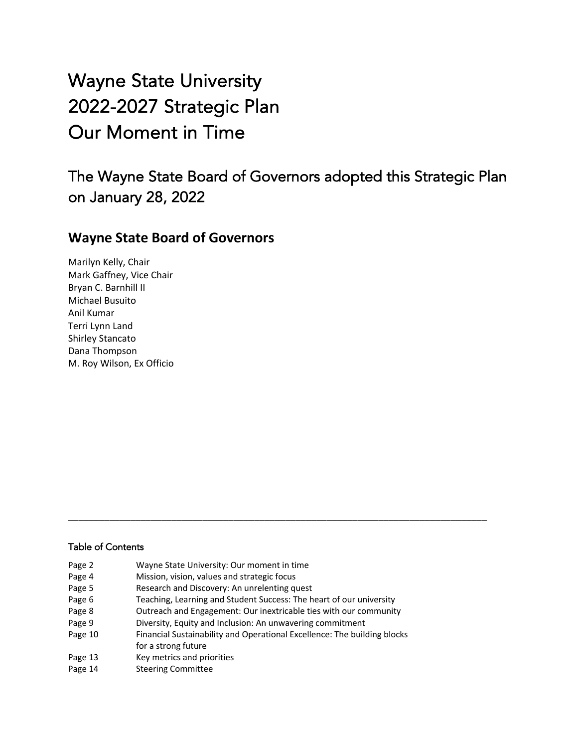Wayne State University 2022-2027 Strategic Plan Our Moment in Time

The Wayne State Board of Governors adopted this Strategic Plan on January 28, 2022

## **Wayne State Board of Governors**

Marilyn Kelly, Chair Mark Gaffney, Vice Chair Bryan C. Barnhill II Michael Busuito Anil Kumar Terri Lynn Land Shirley Stancato Dana Thompson M. Roy Wilson, Ex Officio

#### Table of Contents

| Page 2  | Wayne State University: Our moment in time                                                      |
|---------|-------------------------------------------------------------------------------------------------|
| Page 4  | Mission, vision, values and strategic focus                                                     |
| Page 5  | Research and Discovery: An unrelenting quest                                                    |
| Page 6  | Teaching, Learning and Student Success: The heart of our university                             |
| Page 8  | Outreach and Engagement: Our inextricable ties with our community                               |
| Page 9  | Diversity, Equity and Inclusion: An unwavering commitment                                       |
| Page 10 | Financial Sustainability and Operational Excellence: The building blocks<br>for a strong future |
| Page 13 | Key metrics and priorities                                                                      |
| Page 14 | <b>Steering Committee</b>                                                                       |

\_\_\_\_\_\_\_\_\_\_\_\_\_\_\_\_\_\_\_\_\_\_\_\_\_\_\_\_\_\_\_\_\_\_\_\_\_\_\_\_\_\_\_\_\_\_\_\_\_\_\_\_\_\_\_\_\_\_\_\_\_\_\_\_\_\_\_\_\_\_\_\_\_\_\_\_\_\_\_\_\_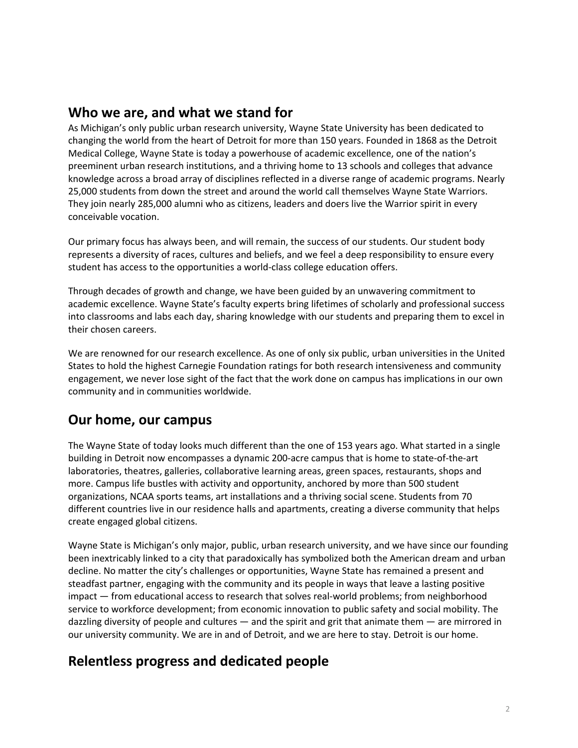## **Who we are, and what we stand for**

As Michigan's only public urban research university, Wayne State University has been dedicated to changing the world from the heart of Detroit for more than 150 years. Founded in 1868 as the Detroit Medical College, Wayne State is today a powerhouse of academic excellence, one of the nation's preeminent urban research institutions, and a thriving home to 13 schools and colleges that advance knowledge across a broad array of disciplines reflected in a diverse range of academic programs. Nearly 25,000 students from down the street and around the world call themselves Wayne State Warriors. They join nearly 285,000 alumni who as citizens, leaders and doers live the Warrior spirit in every conceivable vocation.

Our primary focus has always been, and will remain, the success of our students. Our student body represents a diversity of races, cultures and beliefs, and we feel a deep responsibility to ensure every student has access to the opportunities a world-class college education offers.

Through decades of growth and change, we have been guided by an unwavering commitment to academic excellence. Wayne State's faculty experts bring lifetimes of scholarly and professional success into classrooms and labs each day, sharing knowledge with our students and preparing them to excel in their chosen careers.

We are renowned for our research excellence. As one of only six public, urban universities in the United States to hold the highest Carnegie Foundation ratings for both research intensiveness and community engagement, we never lose sight of the fact that the work done on campus has implications in our own community and in communities worldwide.

## **Our home, our campus**

The Wayne State of today looks much different than the one of 153 years ago. What started in a single building in Detroit now encompasses a dynamic 200-acre campus that is home to state-of-the-art laboratories, theatres, galleries, collaborative learning areas, green spaces, restaurants, shops and more. Campus life bustles with activity and opportunity, anchored by more than 500 student organizations, NCAA sports teams, art installations and a thriving social scene. Students from 70 different countries live in our residence halls and apartments, creating a diverse community that helps create engaged global citizens.

Wayne State is Michigan's only major, public, urban research university, and we have since our founding been inextricably linked to a city that paradoxically has symbolized both the American dream and urban decline. No matter the city's challenges or opportunities, Wayne State has remained a present and steadfast partner, engaging with the community and its people in ways that leave a lasting positive impact — from educational access to research that solves real-world problems; from neighborhood service to workforce development; from economic innovation to public safety and social mobility. The dazzling diversity of people and cultures — and the spirit and grit that animate them — are mirrored in our university community. We are in and of Detroit, and we are here to stay. Detroit is our home.

# **Relentless progress and dedicated people**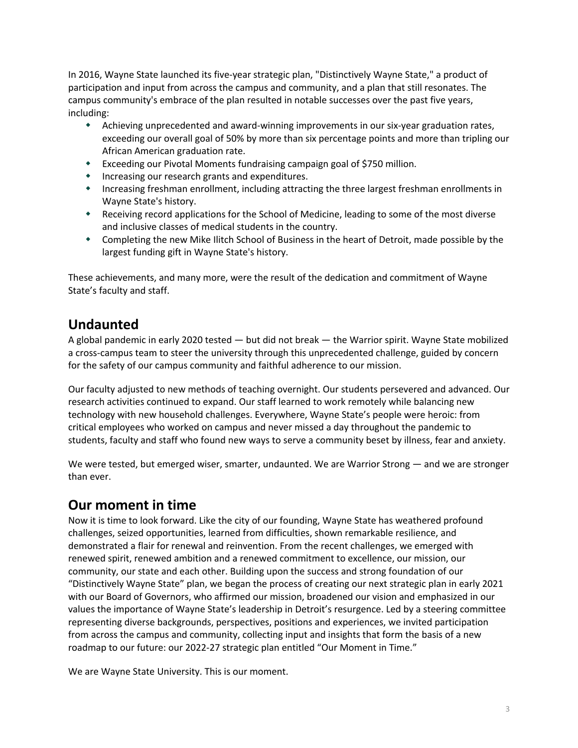In 2016, Wayne State launched its five-year strategic plan, "Distinctively Wayne State," a product of participation and input from across the campus and community, and a plan that still resonates. The campus community's embrace of the plan resulted in notable successes over the past five years, including:

- \* Achieving unprecedented and award-winning improvements in our six-year graduation rates, exceeding our overall goal of 50% by more than six percentage points and more than tripling our African American graduation rate.
- w Exceeding our Pivotal Moments fundraising campaign goal of \$750 million.
- $\bullet$  Increasing our research grants and expenditures.
- w Increasing freshman enrollment, including attracting the three largest freshman enrollments in Wayne State's history.
- \* Receiving record applications for the School of Medicine, leading to some of the most diverse and inclusive classes of medical students in the country.
- \* Completing the new Mike Ilitch School of Business in the heart of Detroit, made possible by the largest funding gift in Wayne State's history.

These achievements, and many more, were the result of the dedication and commitment of Wayne State's faculty and staff.

## **Undaunted**

A global pandemic in early 2020 tested — but did not break — the Warrior spirit. Wayne State mobilized a cross-campus team to steer the university through this unprecedented challenge, guided by concern for the safety of our campus community and faithful adherence to our mission.

Our faculty adjusted to new methods of teaching overnight. Our students persevered and advanced. Our research activities continued to expand. Our staff learned to work remotely while balancing new technology with new household challenges. Everywhere, Wayne State's people were heroic: from critical employees who worked on campus and never missed a day throughout the pandemic to students, faculty and staff who found new ways to serve a community beset by illness, fear and anxiety.

We were tested, but emerged wiser, smarter, undaunted. We are Warrior Strong — and we are stronger than ever.

# **Our moment in time**

Now it is time to look forward. Like the city of our founding, Wayne State has weathered profound challenges, seized opportunities, learned from difficulties, shown remarkable resilience, and demonstrated a flair for renewal and reinvention. From the recent challenges, we emerged with renewed spirit, renewed ambition and a renewed commitment to excellence, our mission, our community, our state and each other. Building upon the success and strong foundation of our "Distinctively Wayne State" plan, we began the process of creating our next strategic plan in early 2021 with our Board of Governors, who affirmed our mission, broadened our vision and emphasized in our values the importance of Wayne State's leadership in Detroit's resurgence. Led by a steering committee representing diverse backgrounds, perspectives, positions and experiences, we invited participation from across the campus and community, collecting input and insights that form the basis of a new roadmap to our future: our 2022-27 strategic plan entitled "Our Moment in Time."

We are Wayne State University. This is our moment.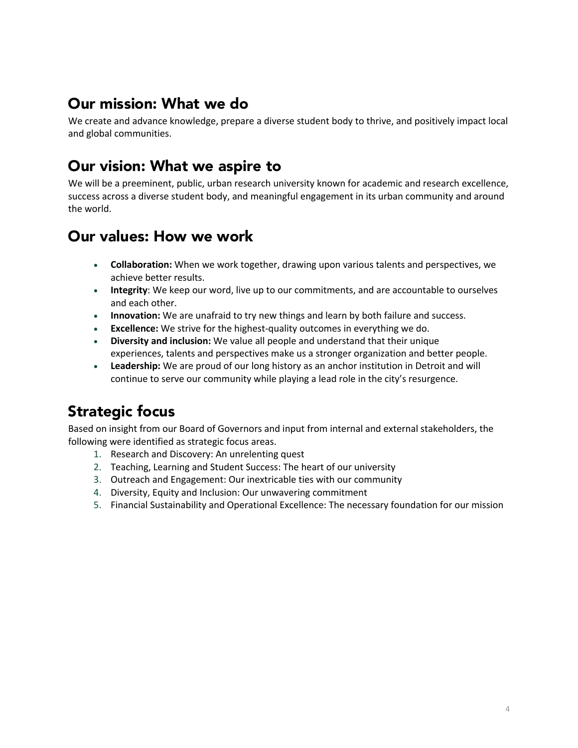# Our mission: What we do

We create and advance knowledge, prepare a diverse student body to thrive, and positively impact local and global communities.

# Our vision: What we aspire to

We will be a preeminent, public, urban research university known for academic and research excellence, success across a diverse student body, and meaningful engagement in its urban community and around the world.

# Our values: How we work

- **Collaboration:** When we work together, drawing upon various talents and perspectives, we achieve better results.
- **Integrity**: We keep our word, live up to our commitments, and are accountable to ourselves and each other.
- **Innovation:** We are unafraid to try new things and learn by both failure and success.
- **Excellence:** We strive for the highest-quality outcomes in everything we do.
- **Diversity and inclusion:** We value all people and understand that their unique experiences, talents and perspectives make us a stronger organization and better people.
- **Leadership:** We are proud of our long history as an anchor institution in Detroit and will continue to serve our community while playing a lead role in the city's resurgence.

# Strategic focus

Based on insight from our Board of Governors and input from internal and external stakeholders, the following were identified as strategic focus areas.

- 1. Research and Discovery: An unrelenting quest
- 2. Teaching, Learning and Student Success: The heart of our university
- 3. Outreach and Engagement: Our inextricable ties with our community
- 4. Diversity, Equity and Inclusion: Our unwavering commitment
- 5. Financial Sustainability and Operational Excellence: The necessary foundation for our mission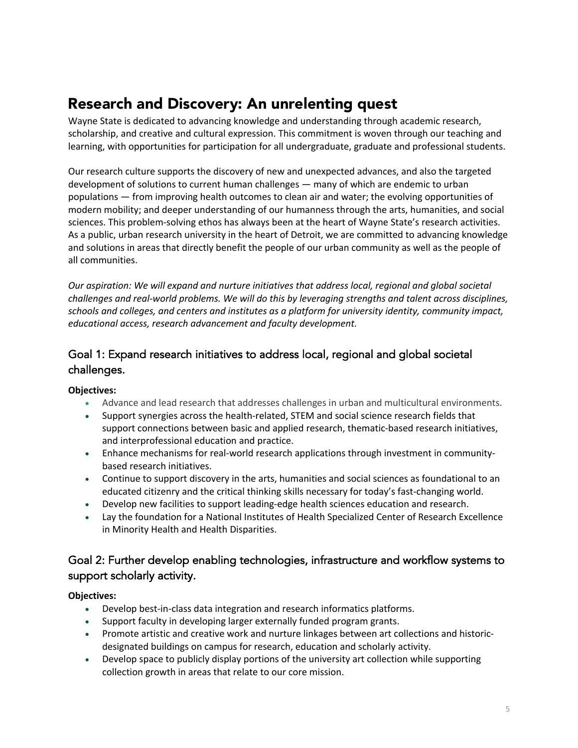# Research and Discovery: An unrelenting quest

Wayne State is dedicated to advancing knowledge and understanding through academic research, scholarship, and creative and cultural expression. This commitment is woven through our teaching and learning, with opportunities for participation for all undergraduate, graduate and professional students.

Our research culture supports the discovery of new and unexpected advances, and also the targeted development of solutions to current human challenges — many of which are endemic to urban populations — from improving health outcomes to clean air and water; the evolving opportunities of modern mobility; and deeper understanding of our humanness through the arts, humanities, and social sciences. This problem-solving ethos has always been at the heart of Wayne State's research activities. As a public, urban research university in the heart of Detroit, we are committed to advancing knowledge and solutions in areas that directly benefit the people of our urban community as well as the people of all communities.

*Our aspiration: We will expand and nurture initiatives that address local, regional and global societal challenges and real-world problems. We will do this by leveraging strengths and talent across disciplines, schools and colleges, and centers and institutes as a platform for university identity, community impact, educational access, research advancement and faculty development.* 

## Goal 1: Expand research initiatives to address local, regional and global societal challenges.

#### **Objectives:**

- Advance and lead research that addresses challenges in urban and multicultural environments.
- Support synergies across the health-related, STEM and social science research fields that support connections between basic and applied research, thematic-based research initiatives, and interprofessional education and practice.
- Enhance mechanisms for real-world research applications through investment in communitybased research initiatives.
- Continue to support discovery in the arts, humanities and social sciences as foundational to an educated citizenry and the critical thinking skills necessary for today's fast-changing world.
- Develop new facilities to support leading-edge health sciences education and research.
- Lay the foundation for a National Institutes of Health Specialized Center of Research Excellence in Minority Health and Health Disparities.

## Goal 2: Further develop enabling technologies, infrastructure and workflow systems to support scholarly activity.

- Develop best-in-class data integration and research informatics platforms.
- Support faculty in developing larger externally funded program grants.
- Promote artistic and creative work and nurture linkages between art collections and historicdesignated buildings on campus for research, education and scholarly activity.
- Develop space to publicly display portions of the university art collection while supporting collection growth in areas that relate to our core mission.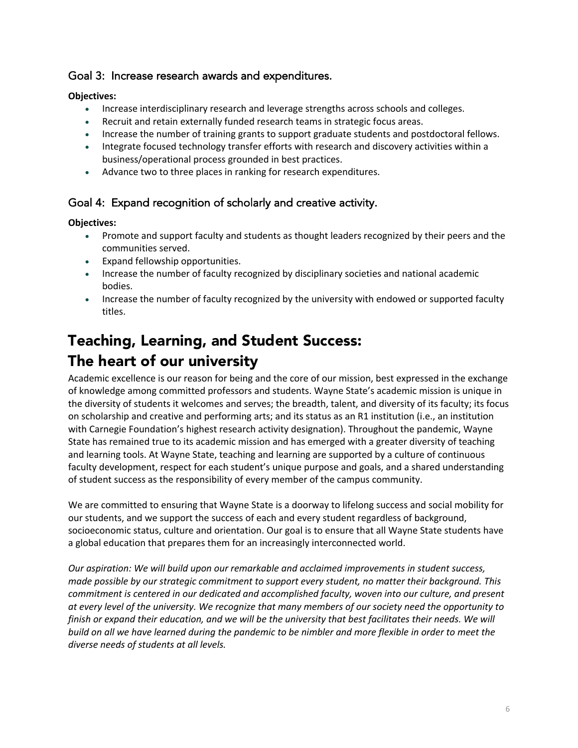### Goal 3: Increase research awards and expenditures.

#### **Objectives:**

- Increase interdisciplinary research and leverage strengths across schools and colleges.
- Recruit and retain externally funded research teams in strategic focus areas.
- Increase the number of training grants to support graduate students and postdoctoral fellows.
- Integrate focused technology transfer efforts with research and discovery activities within a business/operational process grounded in best practices.
- Advance two to three places in ranking for research expenditures.

### Goal 4: Expand recognition of scholarly and creative activity.

#### **Objectives:**

- Promote and support faculty and students as thought leaders recognized by their peers and the communities served.
- Expand fellowship opportunities.
- Increase the number of faculty recognized by disciplinary societies and national academic bodies.
- Increase the number of faculty recognized by the university with endowed or supported faculty titles.

# Teaching, Learning, and Student Success: The heart of our university

Academic excellence is our reason for being and the core of our mission, best expressed in the exchange of knowledge among committed professors and students. Wayne State's academic mission is unique in the diversity of students it welcomes and serves; the breadth, talent, and diversity of its faculty; its focus on scholarship and creative and performing arts; and its status as an R1 institution (i.e., an institution with Carnegie Foundation's highest research activity designation). Throughout the pandemic, Wayne State has remained true to its academic mission and has emerged with a greater diversity of teaching and learning tools. At Wayne State, teaching and learning are supported by a culture of continuous faculty development, respect for each student's unique purpose and goals, and a shared understanding of student success as the responsibility of every member of the campus community.

We are committed to ensuring that Wayne State is a doorway to lifelong success and social mobility for our students, and we support the success of each and every student regardless of background, socioeconomic status, culture and orientation. Our goal is to ensure that all Wayne State students have a global education that prepares them for an increasingly interconnected world.

*Our aspiration: We will build upon our remarkable and acclaimed improvements in student success, made possible by our strategic commitment to support every student, no matter their background. This commitment is centered in our dedicated and accomplished faculty, woven into our culture, and present at every level of the university. We recognize that many members of our society need the opportunity to finish or expand their education, and we will be the university that best facilitates their needs. We will build on all we have learned during the pandemic to be nimbler and more flexible in order to meet the diverse needs of students at all levels.*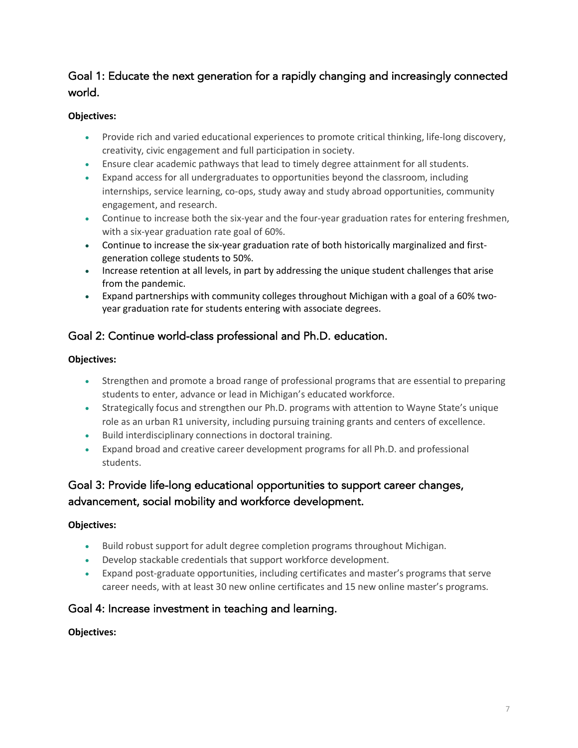## Goal 1: Educate the next generation for a rapidly changing and increasingly connected world.

#### **Objectives:**

- Provide rich and varied educational experiences to promote critical thinking, life-long discovery, creativity, civic engagement and full participation in society.
- Ensure clear academic pathways that lead to timely degree attainment for all students.
- Expand access for all undergraduates to opportunities beyond the classroom, including internships, service learning, co-ops, study away and study abroad opportunities, community engagement, and research.
- Continue to increase both the six-year and the four-year graduation rates for entering freshmen, with a six-year graduation rate goal of 60%.
- Continue to increase the six-year graduation rate of both historically marginalized and firstgeneration college students to 50%.
- Increase retention at all levels, in part by addressing the unique student challenges that arise from the pandemic.
- Expand partnerships with community colleges throughout Michigan with a goal of a 60% twoyear graduation rate for students entering with associate degrees.

## Goal 2: Continue world-class professional and Ph.D. education.

#### **Objectives:**

- Strengthen and promote a broad range of professional programs that are essential to preparing students to enter, advance or lead in Michigan's educated workforce.
- Strategically focus and strengthen our Ph.D. programs with attention to Wayne State's unique role as an urban R1 university, including pursuing training grants and centers of excellence.
- Build interdisciplinary connections in doctoral training.
- Expand broad and creative career development programs for all Ph.D. and professional students.

## Goal 3: Provide life-long educational opportunities to support career changes, advancement, social mobility and workforce development.

## **Objectives:**

- Build robust support for adult degree completion programs throughout Michigan.
- Develop stackable credentials that support workforce development.
- Expand post-graduate opportunities, including certificates and master's programs that serve career needs, with at least 30 new online certificates and 15 new online master's programs.

## Goal 4: Increase investment in teaching and learning.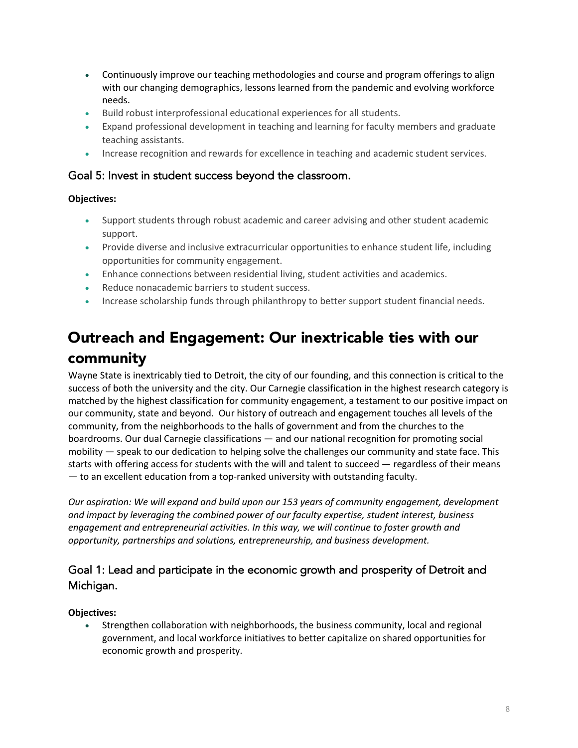- Continuously improve our teaching methodologies and course and program offerings to align with our changing demographics, lessons learned from the pandemic and evolving workforce needs.
- Build robust interprofessional educational experiences for all students.
- Expand professional development in teaching and learning for faculty members and graduate teaching assistants.
- Increase recognition and rewards for excellence in teaching and academic student services.

### Goal 5: Invest in student success beyond the classroom.

#### **Objectives:**

- Support students through robust academic and career advising and other student academic support.
- Provide diverse and inclusive extracurricular opportunities to enhance student life, including opportunities for community engagement.
- Enhance connections between residential living, student activities and academics.
- Reduce nonacademic barriers to student success.
- Increase scholarship funds through philanthropy to better support student financial needs.

# Outreach and Engagement: Our inextricable ties with our community

Wayne State is inextricably tied to Detroit, the city of our founding, and this connection is critical to the success of both the university and the city. Our Carnegie classification in the highest research category is matched by the highest classification for community engagement, a testament to our positive impact on our community, state and beyond. Our history of outreach and engagement touches all levels of the community, from the neighborhoods to the halls of government and from the churches to the boardrooms. Our dual Carnegie classifications — and our national recognition for promoting social mobility — speak to our dedication to helping solve the challenges our community and state face. This starts with offering access for students with the will and talent to succeed — regardless of their means — to an excellent education from a top-ranked university with outstanding faculty.

*Our aspiration: We will expand and build upon our 153 years of community engagement, development and impact by leveraging the combined power of our faculty expertise, student interest, business engagement and entrepreneurial activities. In this way, we will continue to foster growth and opportunity, partnerships and solutions, entrepreneurship, and business development.* 

## Goal 1: Lead and participate in the economic growth and prosperity of Detroit and Michigan.

#### **Objectives:**

• Strengthen collaboration with neighborhoods, the business community, local and regional government, and local workforce initiatives to better capitalize on shared opportunities for economic growth and prosperity.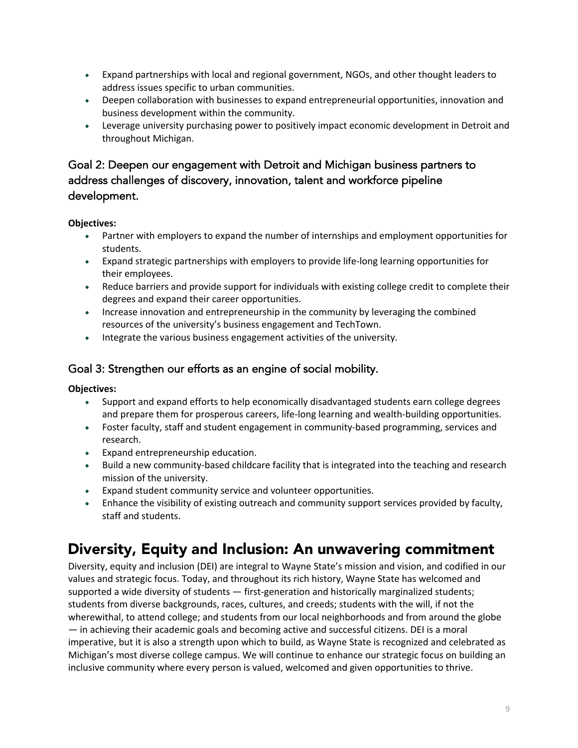- Expand partnerships with local and regional government, NGOs, and other thought leaders to address issues specific to urban communities.
- Deepen collaboration with businesses to expand entrepreneurial opportunities, innovation and business development within the community.
- Leverage university purchasing power to positively impact economic development in Detroit and throughout Michigan.

## Goal 2: Deepen our engagement with Detroit and Michigan business partners to address challenges of discovery, innovation, talent and workforce pipeline development.

#### **Objectives:**

- Partner with employers to expand the number of internships and employment opportunities for students.
- Expand strategic partnerships with employers to provide life-long learning opportunities for their employees.
- Reduce barriers and provide support for individuals with existing college credit to complete their degrees and expand their career opportunities.
- Increase innovation and entrepreneurship in the community by leveraging the combined resources of the university's business engagement and TechTown.
- Integrate the various business engagement activities of the university.

## Goal 3: Strengthen our efforts as an engine of social mobility.

#### **Objectives:**

- Support and expand efforts to help economically disadvantaged students earn college degrees and prepare them for prosperous careers, life-long learning and wealth-building opportunities.
- Foster faculty, staff and student engagement in community-based programming, services and research.
- Expand entrepreneurship education.
- Build a new community-based childcare facility that is integrated into the teaching and research mission of the university.
- Expand student community service and volunteer opportunities.
- Enhance the visibility of existing outreach and community support services provided by faculty, staff and students.

# Diversity, Equity and Inclusion: An unwavering commitment

Diversity, equity and inclusion (DEI) are integral to Wayne State's mission and vision, and codified in our values and strategic focus. Today, and throughout its rich history, Wayne State has welcomed and supported a wide diversity of students — first-generation and historically marginalized students; students from diverse backgrounds, races, cultures, and creeds; students with the will, if not the wherewithal, to attend college; and students from our local neighborhoods and from around the globe — in achieving their academic goals and becoming active and successful citizens. DEI is a moral imperative, but it is also a strength upon which to build, as Wayne State is recognized and celebrated as Michigan's most diverse college campus. We will continue to enhance our strategic focus on building an inclusive community where every person is valued, welcomed and given opportunities to thrive.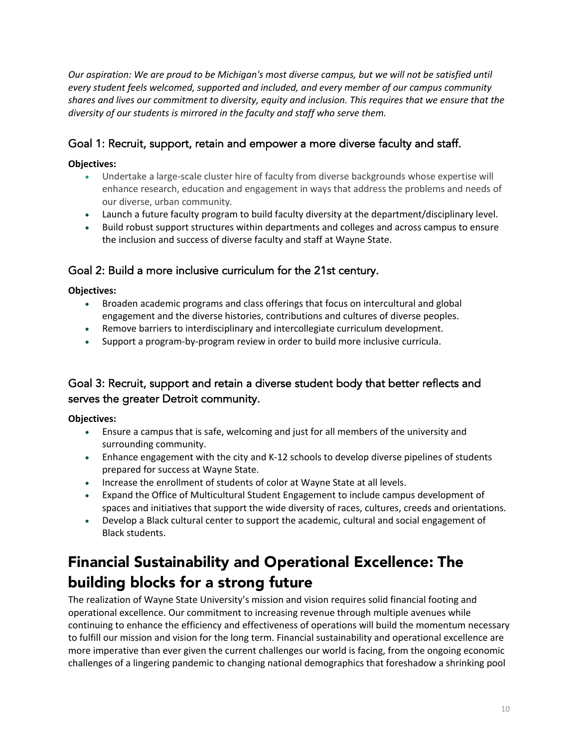*Our aspiration: We are proud to be Michigan's most diverse campus, but we will not be satisfied until every student feels welcomed, supported and included, and every member of our campus community shares and lives our commitment to diversity, equity and inclusion. This requires that we ensure that the diversity of our students is mirrored in the faculty and staff who serve them.* 

## Goal 1: Recruit, support, retain and empower a more diverse faculty and staff.

#### **Objectives:**

- Undertake a large-scale cluster hire of faculty from diverse backgrounds whose expertise will enhance research, education and engagement in ways that address the problems and needs of our diverse, urban community.
- Launch a future faculty program to build faculty diversity at the department/disciplinary level.
- Build robust support structures within departments and colleges and across campus to ensure the inclusion and success of diverse faculty and staff at Wayne State.

## Goal 2: Build a more inclusive curriculum for the 21st century.

#### **Objectives:**

- Broaden academic programs and class offerings that focus on intercultural and global engagement and the diverse histories, contributions and cultures of diverse peoples.
- Remove barriers to interdisciplinary and intercollegiate curriculum development.
- Support a program-by-program review in order to build more inclusive curricula.

## Goal 3: Recruit, support and retain a diverse student body that better reflects and serves the greater Detroit community.

#### **Objectives:**

- Ensure a campus that is safe, welcoming and just for all members of the university and surrounding community.
- Enhance engagement with the city and K-12 schools to develop diverse pipelines of students prepared for success at Wayne State.
- Increase the enrollment of students of color at Wayne State at all levels.
- Expand the Office of Multicultural Student Engagement to include campus development of spaces and initiatives that support the wide diversity of races, cultures, creeds and orientations.
- Develop a Black cultural center to support the academic, cultural and social engagement of Black students.

# Financial Sustainability and Operational Excellence: The building blocks for a strong future

The realization of Wayne State University's mission and vision requires solid financial footing and operational excellence. Our commitment to increasing revenue through multiple avenues while continuing to enhance the efficiency and effectiveness of operations will build the momentum necessary to fulfill our mission and vision for the long term. Financial sustainability and operational excellence are more imperative than ever given the current challenges our world is facing, from the ongoing economic challenges of a lingering pandemic to changing national demographics that foreshadow a shrinking pool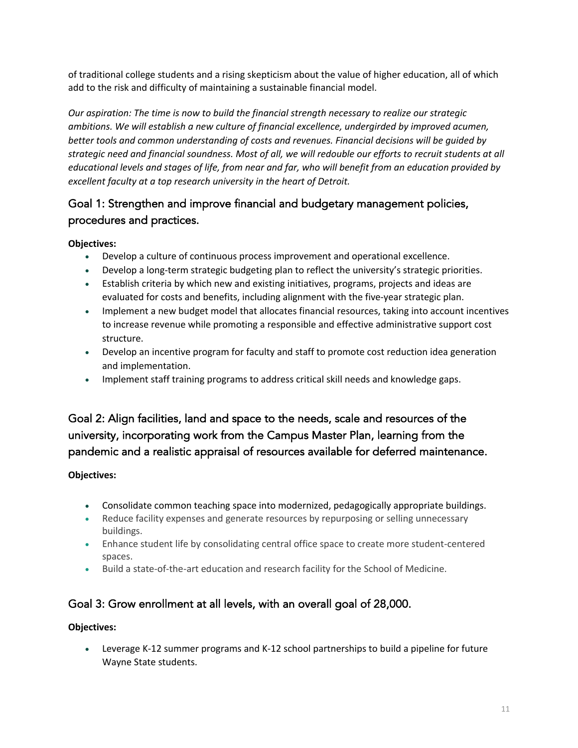of traditional college students and a rising skepticism about the value of higher education, all of which add to the risk and difficulty of maintaining a sustainable financial model.

*Our aspiration: The time is now to build the financial strength necessary to realize our strategic ambitions. We will establish a new culture of financial excellence, undergirded by improved acumen, better tools and common understanding of costs and revenues. Financial decisions will be guided by strategic need and financial soundness. Most of all, we will redouble our efforts to recruit students at all educational levels and stages of life, from near and far, who will benefit from an education provided by excellent faculty at a top research university in the heart of Detroit.*

## Goal 1: Strengthen and improve financial and budgetary management policies, procedures and practices.

#### **Objectives:**

- Develop a culture of continuous process improvement and operational excellence.
- Develop a long-term strategic budgeting plan to reflect the university's strategic priorities.
- Establish criteria by which new and existing initiatives, programs, projects and ideas are evaluated for costs and benefits, including alignment with the five-year strategic plan.
- Implement a new budget model that allocates financial resources, taking into account incentives to increase revenue while promoting a responsible and effective administrative support cost structure.
- Develop an incentive program for faculty and staff to promote cost reduction idea generation and implementation.
- Implement staff training programs to address critical skill needs and knowledge gaps.

## Goal 2: Align facilities, land and space to the needs, scale and resources of the university, incorporating work from the Campus Master Plan, learning from the pandemic and a realistic appraisal of resources available for deferred maintenance.

## **Objectives:**

- Consolidate common teaching space into modernized, pedagogically appropriate buildings.
- Reduce facility expenses and generate resources by repurposing or selling unnecessary buildings.
- Enhance student life by consolidating central office space to create more student-centered spaces.
- Build a state-of-the-art education and research facility for the School of Medicine.

## Goal 3: Grow enrollment at all levels, with an overall goal of 28,000.

#### **Objectives:**

• Leverage K-12 summer programs and K-12 school partnerships to build a pipeline for future Wayne State students.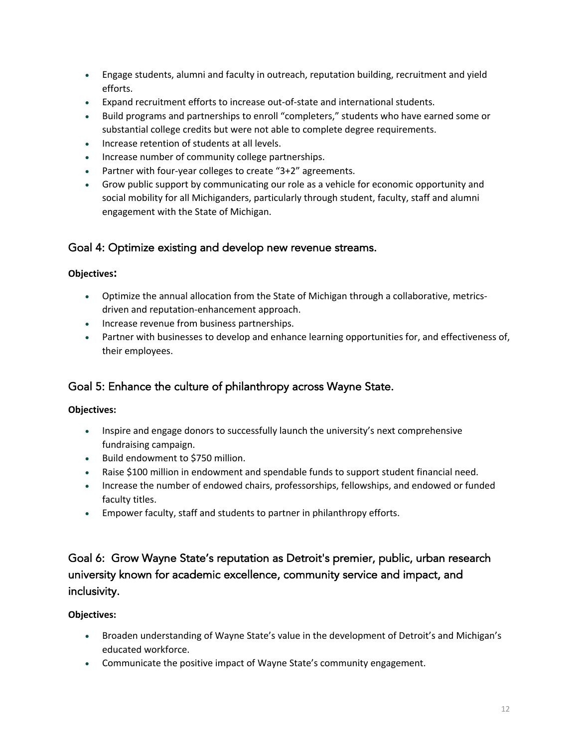- Engage students, alumni and faculty in outreach, reputation building, recruitment and yield efforts.
- Expand recruitment efforts to increase out-of-state and international students.
- Build programs and partnerships to enroll "completers," students who have earned some or substantial college credits but were not able to complete degree requirements.
- Increase retention of students at all levels.
- Increase number of community college partnerships.
- Partner with four-year colleges to create "3+2" agreements.
- Grow public support by communicating our role as a vehicle for economic opportunity and social mobility for all Michiganders, particularly through student, faculty, staff and alumni engagement with the State of Michigan.

## Goal 4: Optimize existing and develop new revenue streams.

#### **Objectives:**

- Optimize the annual allocation from the State of Michigan through a collaborative, metricsdriven and reputation-enhancement approach.
- Increase revenue from business partnerships.
- Partner with businesses to develop and enhance learning opportunities for, and effectiveness of, their employees.

## Goal 5: Enhance the culture of philanthropy across Wayne State.

#### **Objectives:**

- Inspire and engage donors to successfully launch the university's next comprehensive fundraising campaign.
- Build endowment to \$750 million.
- Raise \$100 million in endowment and spendable funds to support student financial need.
- Increase the number of endowed chairs, professorships, fellowships, and endowed or funded faculty titles.
- Empower faculty, staff and students to partner in philanthropy efforts.

## Goal 6: Grow Wayne State's reputation as Detroit's premier, public, urban research university known for academic excellence, community service and impact, and inclusivity.

- Broaden understanding of Wayne State's value in the development of Detroit's and Michigan's educated workforce.
- Communicate the positive impact of Wayne State's community engagement.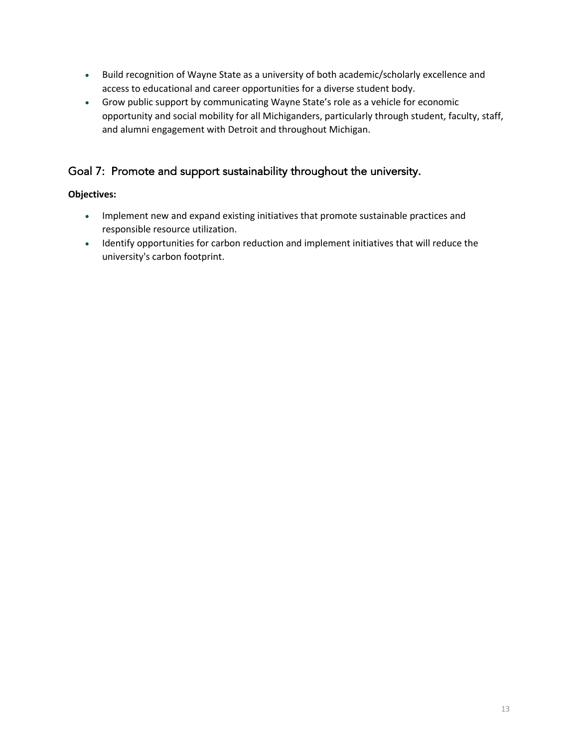- Build recognition of Wayne State as a university of both academic/scholarly excellence and access to educational and career opportunities for a diverse student body.
- Grow public support by communicating Wayne State's role as a vehicle for economic opportunity and social mobility for all Michiganders, particularly through student, faculty, staff, and alumni engagement with Detroit and throughout Michigan.

## Goal 7: Promote and support sustainability throughout the university.

- Implement new and expand existing initiatives that promote sustainable practices and responsible resource utilization.
- Identify opportunities for carbon reduction and implement initiatives that will reduce the university's carbon footprint.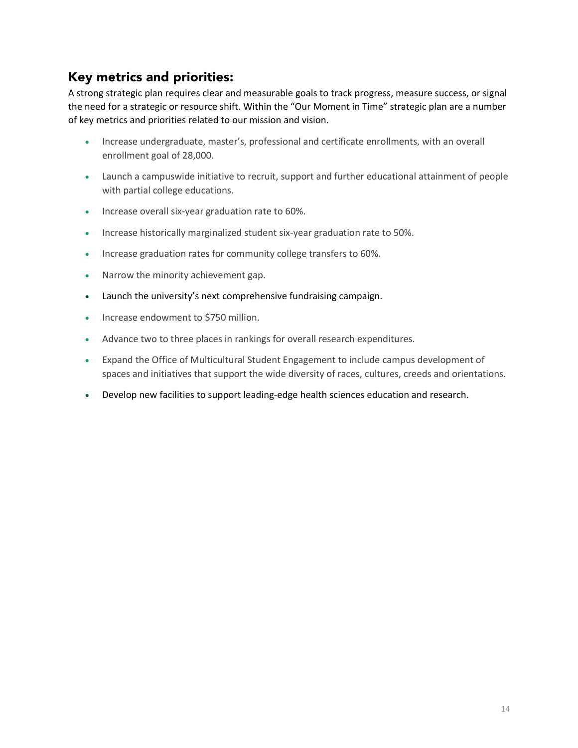# Key metrics and priorities:

A strong strategic plan requires clear and measurable goals to track progress, measure success, or signal the need for a strategic or resource shift. Within the "Our Moment in Time" strategic plan are a number of key metrics and priorities related to our mission and vision.

- Increase undergraduate, master's, professional and certificate enrollments, with an overall enrollment goal of 28,000.
- Launch a campuswide initiative to recruit, support and further educational attainment of people with partial college educations.
- Increase overall six-year graduation rate to 60%.
- Increase historically marginalized student six-year graduation rate to 50%.
- Increase graduation rates for community college transfers to 60%.
- Narrow the minority achievement gap.
- Launch the university's next comprehensive fundraising campaign.
- Increase endowment to \$750 million.
- Advance two to three places in rankings for overall research expenditures.
- Expand the Office of Multicultural Student Engagement to include campus development of spaces and initiatives that support the wide diversity of races, cultures, creeds and orientations.
- Develop new facilities to support leading-edge health sciences education and research.